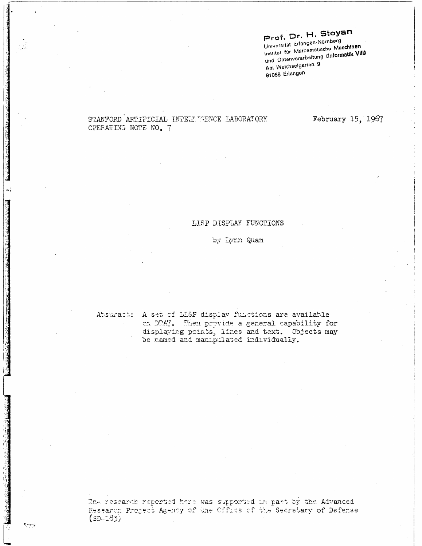# Prof. Dr. H. Stoyan

Universität Erlangen-Nürnberg Institut für Mathemstische Maschinen und Datenverarbeitung (Informatik VIII) Am Weichselgarten 9 91058 Erlangen

# STANFORD ARTIFICIAL INTELITAENCE LABORATORY CPEFATING NOTE NO. 7

February 15, 1967

### LISP DISPLAY FUNCTIONS

### by Lynn Quam

**Month** 

Absuracus A set of LISP display functions are available on DTA7. Then provide a general capability for displaying points, lines and text. Objects may be named and manipulated individually.

The research reported here was supported in part by the Advanced Research Project Agency of the Office of the Secretary of Defense  $(SD - 283)$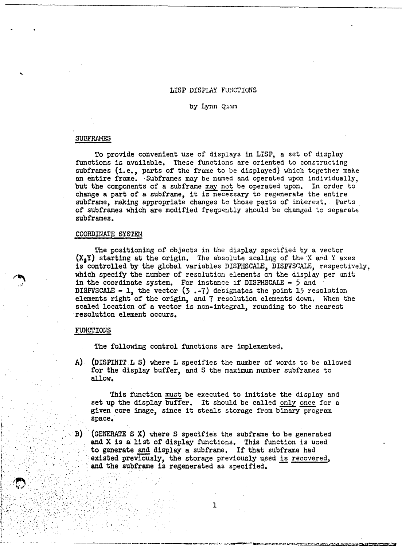#### LISP DISPLAY FUNCTIONS

#### by Lynn Quum

#### SUBFRAMES

To provide convenient use of displays in LISP, a set of display functions is available. These functions are oriented to constructing subframes (i.e., parts of the frame to be displayed) which together make an entire frame. Subframes may be named and operated upon individually, but the components of a subframe may not be operated upon. In order to change a part of a subframe, it is necessary to regenerate the entire sub frame, making appropriate changes to those parts of interest. Parts of subframes which are modified frequently should be changed to separate subframes.

#### COORDINATE SYSTEM

The positioning of objects *in* the display specified by a vector  $(X_1Y)$  starting at the origin. The absolute scaling of the X and Y axes is controlled by the global variables DISPHSCALE, DISPVSCALE, respectively, which specify the number of resolution elements on the display per unit in the coordinate system. For instance if DISPHSCALE =  $5$  and DISPVSCALE = 1, the vector  $(3, -7)$  designates the point 15 resolution elements right of the origin, and 7 resolution elements down. When the scaled location of a vector is non-integral, rounding to the nearest resolution element occurs.

#### FUNCTIONS

',' . , "

 $"$   $"$   $"$   $"$ 

 $\mathbb{R}^n \setminus \mathbb{R}^n$ 

, ' , , '

I~' ",:,." " ~'" l,.":'··· ...

I' , "

 $\mathcal{N}_\P$  :  $\mathcal{N}_\P$ 

' ', .. , : ""

 $\mathcal{L}_{\mathcal{A}}$ 

line is a little of the little of the little of the little of the little of the little of the little of the li

The following control functions are implemented.

A) (DISPINIT L S) where L specifics the number of words to be allowed for the display buffer, and S the maximum number subframes to allow.

This function must be executed to initiate the display and This function must be executed to initiate the display and set up the display buffer. It should be called only once for a given core image, since it steals storage from binary program space.

 $B$ ) (GENERATE S X) where S specifies the subframe to be generated and X is a list of display functions. This function is used to generate and display a subframe. If that subframe had existed previously, the storage previously used is recovered, and the subframe is regenerated as specified.

. . .' .. " . ~:;'; ,"'.:" <sup>1</sup>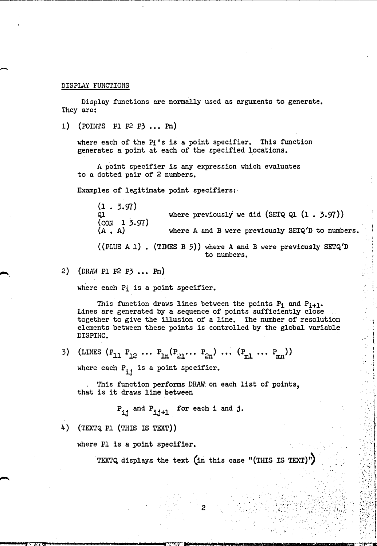#### DISPLAY FUNCTIONS

 $\overline{\phantom{0}}$ 

......

Display functions are normatly used as arguments to generate. They are:

1) (POINTS P1  $P2$   $P3$  ... Pn)

where each of the Pi's is a point specifier. This function generates a point at each of the specified locations.

<sup>A</sup>point specifier is any expression which evaluates to a dotted pair of 2 numbers.

Examples of legitimate point specifiers:·

(1 • 3.97) where previously we did (SETQ Ql  $(1 \cdot 3.97)$ )  $(\text{CON } 1 \, 3.97)$ <br> $(A \cdot A)$ where A and B were previously SETQ'D to numbers. ((PLUS A 1). (TIMES B 5)) where A and B were previously SETQ'D to numbers.

2) (DRAW P1  $P2$  P3  $\ldots$  Pn)

where each Pi is a point specifier.

This function draws lines between the points  $P_i$  and  $P_{i+1}$ . Lines are generated by a sequence of points sufficiently close together to give the illusion of a line. The number of resolution elements between these points is controlled by the global variable DISPIHC.

3) (LINES  $(P_{11} P_{12} \cdots P_{1n} (P_{21} \cdots P_{2n}) \cdots (P_{m1} \cdots P_{mn}))$ where each  $P_{i,j}$  is a point specifier.

This function performs DRAW. on each list of points, that is it draws line between

 $P_{ij}$  and  $P_{ij+1}$  for each i and j.

4) (TEXTQ P1 (THIS IS TEXT)

where Pl is a point specifier.

TEXTQ displays the text (in this case "(THIS IS TEXT)")

2

*--..... ';:·,)1,71:* ~. ,...\_. --.. --........... -------\_r.T"t m~:.·"·· .... nE---.... -..,I ..... I •• ISiI-'I-.I11'--\_\_\_\_\_\_\_ 1iEiII . • ',.

) ..

! i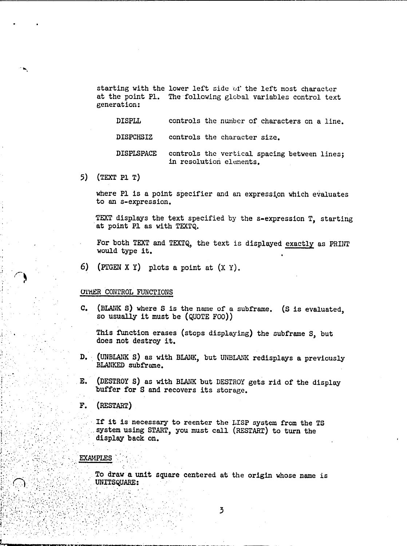starting with the lower left side of the left most character at the point Pl. The following global variables control text generation:

controls the number of characters on a line. DISPLL

**DISPCHSIZ** controls the character size.

**DISPLSPACE** controls the vertical spacing between lines; in resolution elements.

5)  $(TEXT P1 T)$ 

where Pl is a point specifier and an expression which evaluates to an s-expression.

TEXT displays the text specified by the s-expression T, starting at point Pl as with TEXTQ.

For both TEXT and TEXTQ, the text is displayed exactly as PRINT would type it.

6) (PIGEN X Y) plots a point at  $(X Y)$ .

## **OTHER CONTROL FUNCTIONS**

 $C_{\bullet}$ (BLANK S) where S is the name of a subframe. (S is evaluated, so usually it must be (QUOTE FOO))

This function erases (stops displaying) the subframe S, but does not destroy it.

- D. (UNBLANK S) as with BLANK, but UNBLANK redisplays a previously BLANKED subframe.
- E. (DESTROY S) as with BLANK but DESTROY gets rid of the display buffer for S and recovers its storage.
- F. (RESTART)

If it is necessary to reenter the LISP system from the TS system using START, you must call (RESTART) to turn the display back on.

## **EXAMPLES**

To draw a unit square centered at the origin whose name is UNITSQUARE: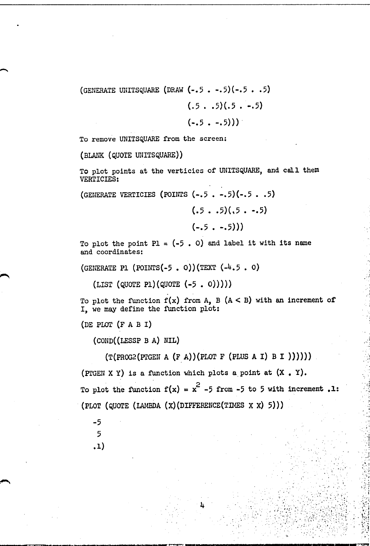(GENERATE UNITSQUARE (DRAW  $(-.5 \cdot -.5)(-.5 \cdot .5)$ )  $(.5 \cdot .5)(.5 \cdot -.5)$ 

 $(-.5 - .5))$ 

To remove UNITSQUARE from the screen:

(BLANK (QUOTE UNITSQUARE))

-.

To plot points at the verticies of UNITSQUARE, and call them VERTICIES:

(GENERATE VERTICIES (POINTS  $(-.5 \cdot -.5)(-.5 \cdot .5)$ )

 $(.5 \cdot .5)(.5 \cdot .5)$ 

$$
(-.5. -.5))
$$

To plot the point  $PI = (-5, 0)$  and label it with its name and coordinates:

(GENERATE PI (POINTS $(-5, 0)$ ) (TEXT  $(-4.5, 0)$ )

 $(LIST (QUOTE P1)(QUOTE (-5 . 0))))$ 

To plot the function  $f(x)$  from A, B  $(A < B)$  with an increment of I, we may define the function plot:

(DE PLOT (F A B I)

 $(COND((LESSP B A) NIL))$ 

 $(T(PROG2(PIGEN A (F A))(PLOT F (PLUS A I) B I))))$ 

(PIGEN X Y) is a function which plots a point at  $(X, Y)$ . To plot the function  $f(x) = x^2 -5$  from -5 to 5 with increment .1: (PLOT (QUOTE (LAMBDA  $(X)$  (DIFFERENCE (TIMES  $X$   $X$ ) 5)))

4

, . iv  $\mathcal{L}_{\mathcal{A}}$ 

. . "

 $\mathbf{v}$  ,

'"

 $\sim$   $\sim$   $\sim$ 

,i

': "  $\frac{1}{1}$ , ':t  $\cdot$  .  $\cdot$  :

· -.,\ .".1  $"$  .  $'$ 

" ,

, and the set of  $\mathcal{L}$  , and  $\mathcal{L}$ 

-5 5 .1)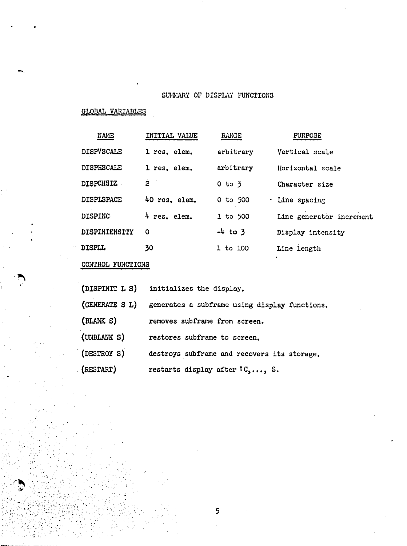# SUMMARY OF DISPLAY FUNCTIONS

# **GLOBAL VARIABLES**

| <b>NAME</b>          | INITIAL VALUE | RANGE        | <b>PURPOSE</b>           |
|----------------------|---------------|--------------|--------------------------|
| <b>DISPVSCALE</b>    | l res. elem.  | arbitrary    | Vertical scale           |
| <b>DISPHSCALE</b>    | 1 res. elem.  | arbitrary    | Horizontal scale         |
| <b>DISPCHSIZ</b>     | 2             | $0$ to $3$   | Character size           |
| <b>DISPLSPACE</b>    | 40 res. elem. | $0$ to $500$ | · Line spacing           |
| <b>DISPINC</b>       | 4 res. elem.  | $1$ to 500   | Line generator increment |
| <b>DISPINTENSITY</b> | 0             | $-4$ to 3    | Display intensity        |
| <b>DISPLL</b>        | 30            | 1 to 100     | Line length              |

# CONTROL FUNCTIONS

(DISPINIT L S) initializes the display. (GENERATE S L) generates a subframe using display functions.  $(BLANK S)$ removes subframe from screen. (UNBLANK S) restores subframe to screen.

(DESTROY S) destroys subframe and recovers its storage.

(RESTART) restarts display after fC,..., S.

5